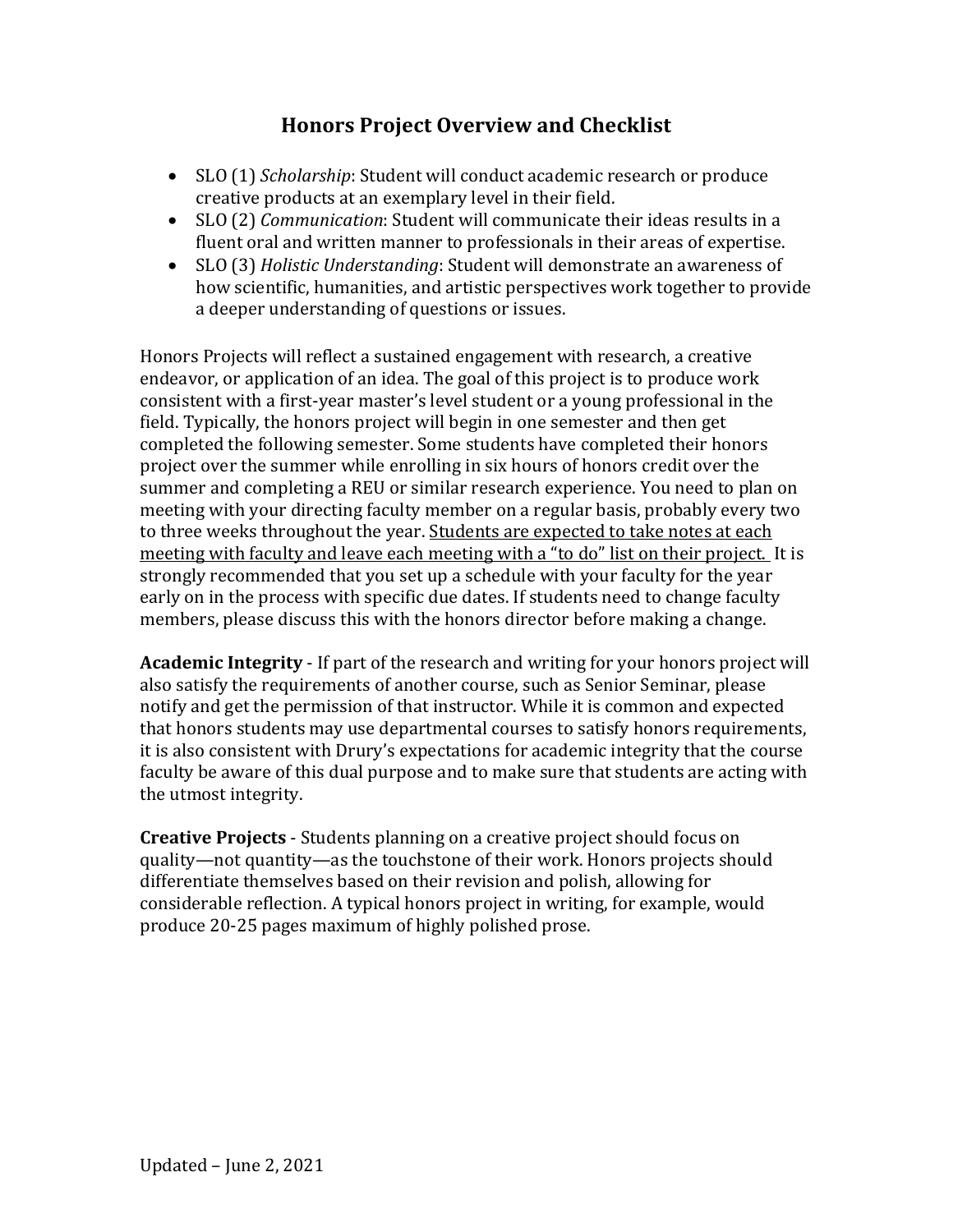# **Honors Project Overview and Checklist**

- SLO (1) *Scholarship*: Student will conduct academic research or produce creative products at an exemplary level in their field.
- SLO (2) *Communication*: Student will communicate their ideas results in a fluent oral and written manner to professionals in their areas of expertise.
- SLO (3) *Holistic Understanding*: Student will demonstrate an awareness of how scientific, humanities, and artistic perspectives work together to provide a deeper understanding of questions or issues.

Honors Projects will reflect a sustained engagement with research, a creative endeavor, or application of an idea. The goal of this project is to produce work consistent with a first-year master's level student or a young professional in the field. Typically, the honors project will begin in one semester and then get completed the following semester. Some students have completed their honors project over the summer while enrolling in six hours of honors credit over the summer and completing a REU or similar research experience. You need to plan on meeting with your directing faculty member on a regular basis, probably every two to three weeks throughout the year. Students are expected to take notes at each meeting with faculty and leave each meeting with a "to do" list on their project. It is strongly recommended that you set up a schedule with your faculty for the year early on in the process with specific due dates. If students need to change faculty members, please discuss this with the honors director before making a change.

**Academic Integrity** - If part of the research and writing for your honors project will also satisfy the requirements of another course, such as Senior Seminar, please notify and get the permission of that instructor. While it is common and expected that honors students may use departmental courses to satisfy honors requirements, it is also consistent with Drury's expectations for academic integrity that the course faculty be aware of this dual purpose and to make sure that students are acting with the utmost integrity.

**Creative Projects** - Students planning on a creative project should focus on quality—not quantity—as the touchstone of their work. Honors projects should differentiate themselves based on their revision and polish, allowing for considerable reflection. A typical honors project in writing, for example, would produce 20-25 pages maximum of highly polished prose.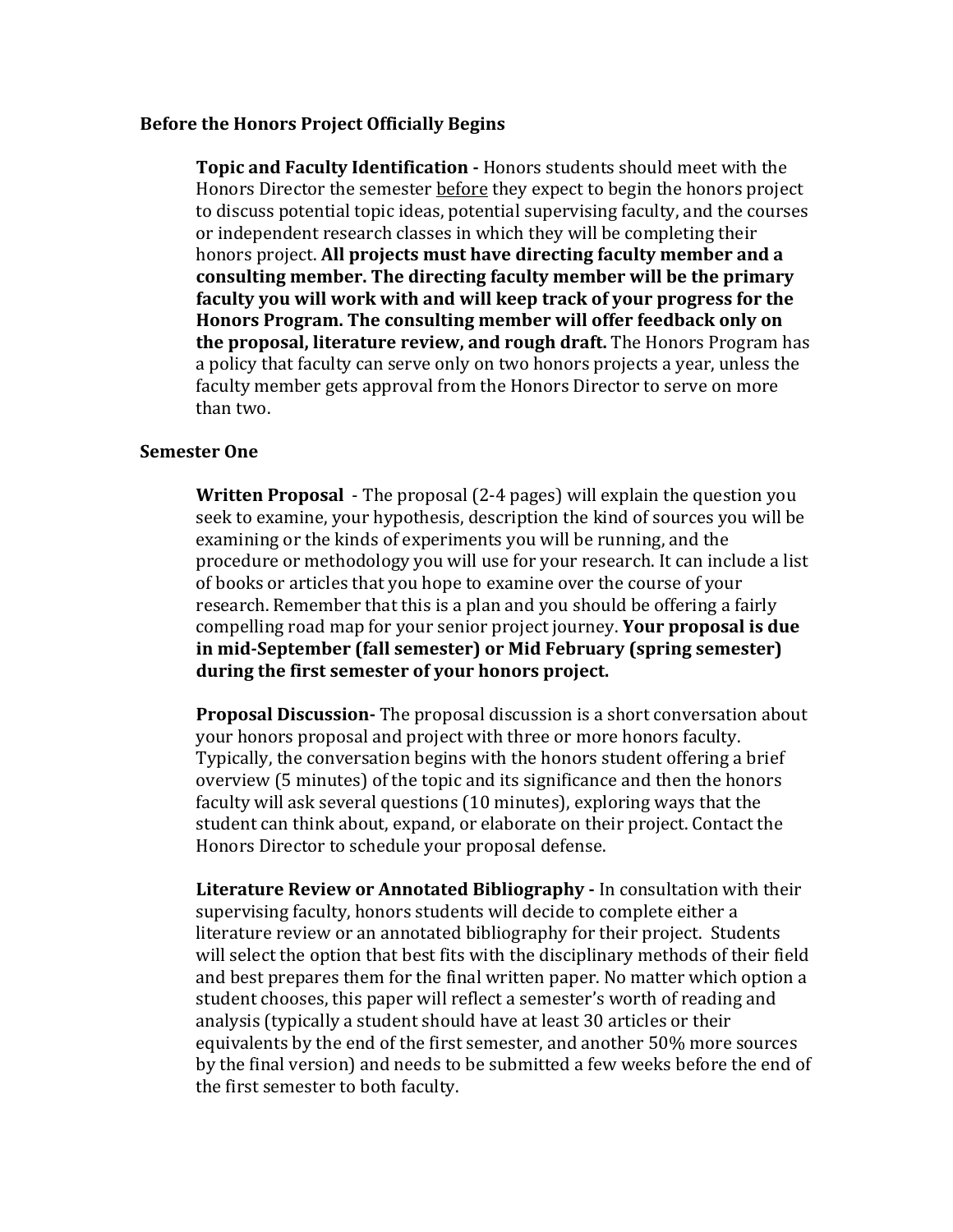#### **Before the Honors Project Officially Begins**

**Topic and Faculty Identification -** Honors students should meet with the Honors Director the semester before they expect to begin the honors project to discuss potential topic ideas, potential supervising faculty, and the courses or independent research classes in which they will be completing their honors project. All projects must have directing faculty member and a consulting member. The directing faculty member will be the primary faculty you will work with and will keep track of your progress for the Honors Program. The consulting member will offer feedback only on **the proposal, literature review, and rough draft.** The Honors Program has a policy that faculty can serve only on two honors projects a year, unless the faculty member gets approval from the Honors Director to serve on more than two.

#### **Semester One**

**Written Proposal** - The proposal (2-4 pages) will explain the question you seek to examine, your hypothesis, description the kind of sources you will be examining or the kinds of experiments you will be running, and the procedure or methodology you will use for your research. It can include a list of books or articles that you hope to examine over the course of your research. Remember that this is a plan and you should be offering a fairly compelling road map for your senior project journey. **Your proposal is due** in mid-September (fall semester) or Mid February (spring semester) during the first semester of your honors project.

**Proposal Discussion-** The proposal discussion is a short conversation about your honors proposal and project with three or more honors faculty. Typically, the conversation begins with the honors student offering a brief overview (5 minutes) of the topic and its significance and then the honors faculty will ask several questions (10 minutes), exploring ways that the student can think about, expand, or elaborate on their project. Contact the Honors Director to schedule your proposal defense.

**Literature Review or Annotated Bibliography - In consultation with their** supervising faculty, honors students will decide to complete either a literature review or an annotated bibliography for their project. Students will select the option that best fits with the disciplinary methods of their field and best prepares them for the final written paper. No matter which option a student chooses, this paper will reflect a semester's worth of reading and analysis (typically a student should have at least 30 articles or their equivalents by the end of the first semester, and another 50% more sources by the final version) and needs to be submitted a few weeks before the end of the first semester to both faculty.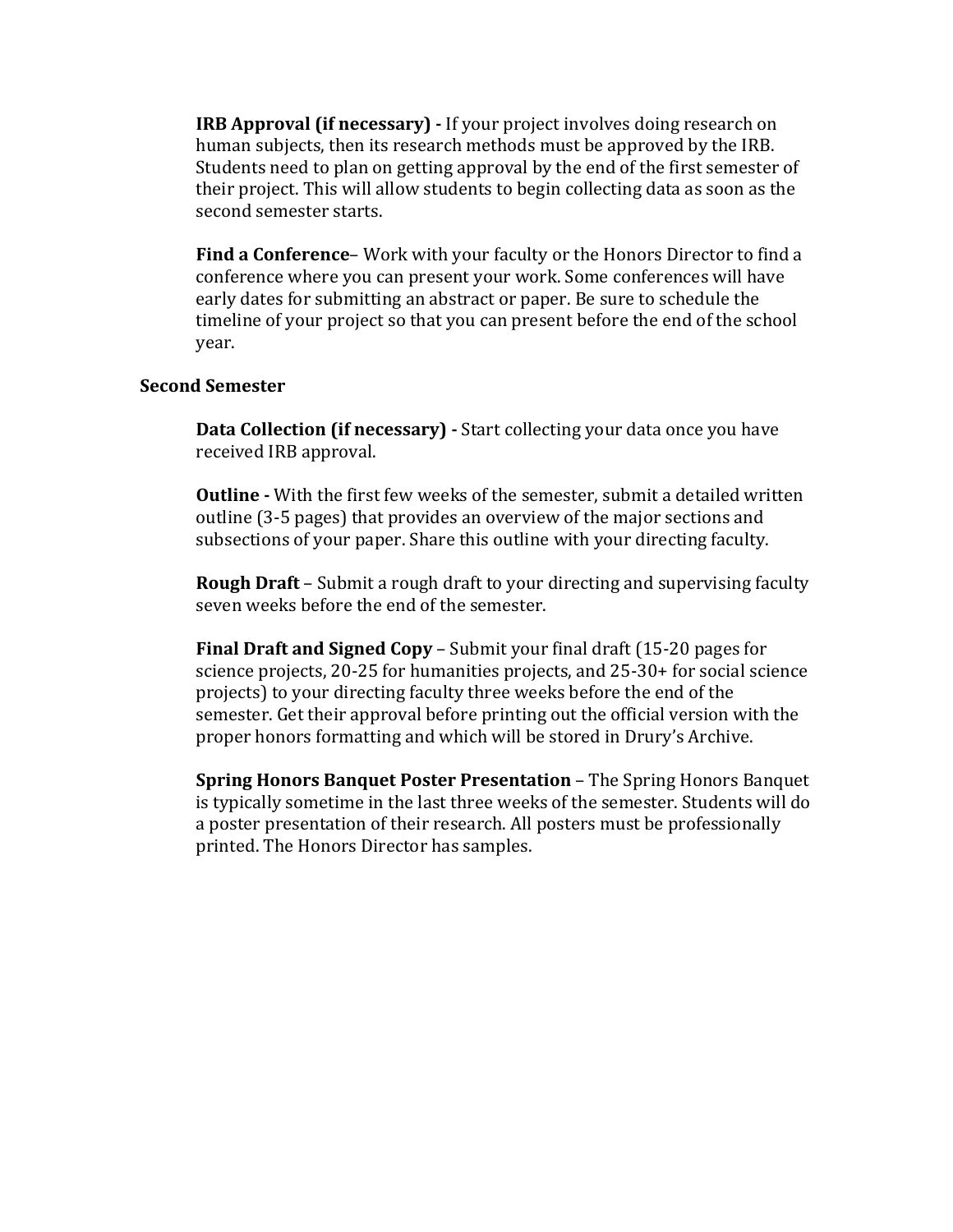**IRB Approval (if necessary) -** If your project involves doing research on human subjects, then its research methods must be approved by the IRB. Students need to plan on getting approval by the end of the first semester of their project. This will allow students to begin collecting data as soon as the second semester starts.

**Find a Conference**– Work with your faculty or the Honors Director to find a conference where you can present your work. Some conferences will have early dates for submitting an abstract or paper. Be sure to schedule the timeline of your project so that you can present before the end of the school year.

#### **Second Semester**

**Data Collection (if necessary)** - Start collecting your data once you have received IRB approval.

**Outline -** With the first few weeks of the semester, submit a detailed written outline (3-5 pages) that provides an overview of the major sections and subsections of your paper. Share this outline with your directing faculty.

**Rough Draft** – Submit a rough draft to your directing and supervising faculty seven weeks before the end of the semester.

**Final Draft and Signed Copy** – Submit your final draft (15-20 pages for science projects, 20-25 for humanities projects, and 25-30+ for social science projects) to your directing faculty three weeks before the end of the semester. Get their approval before printing out the official version with the proper honors formatting and which will be stored in Drury's Archive.

**Spring Honors Banquet Poster Presentation** – The Spring Honors Banquet is typically sometime in the last three weeks of the semester. Students will do a poster presentation of their research. All posters must be professionally printed. The Honors Director has samples.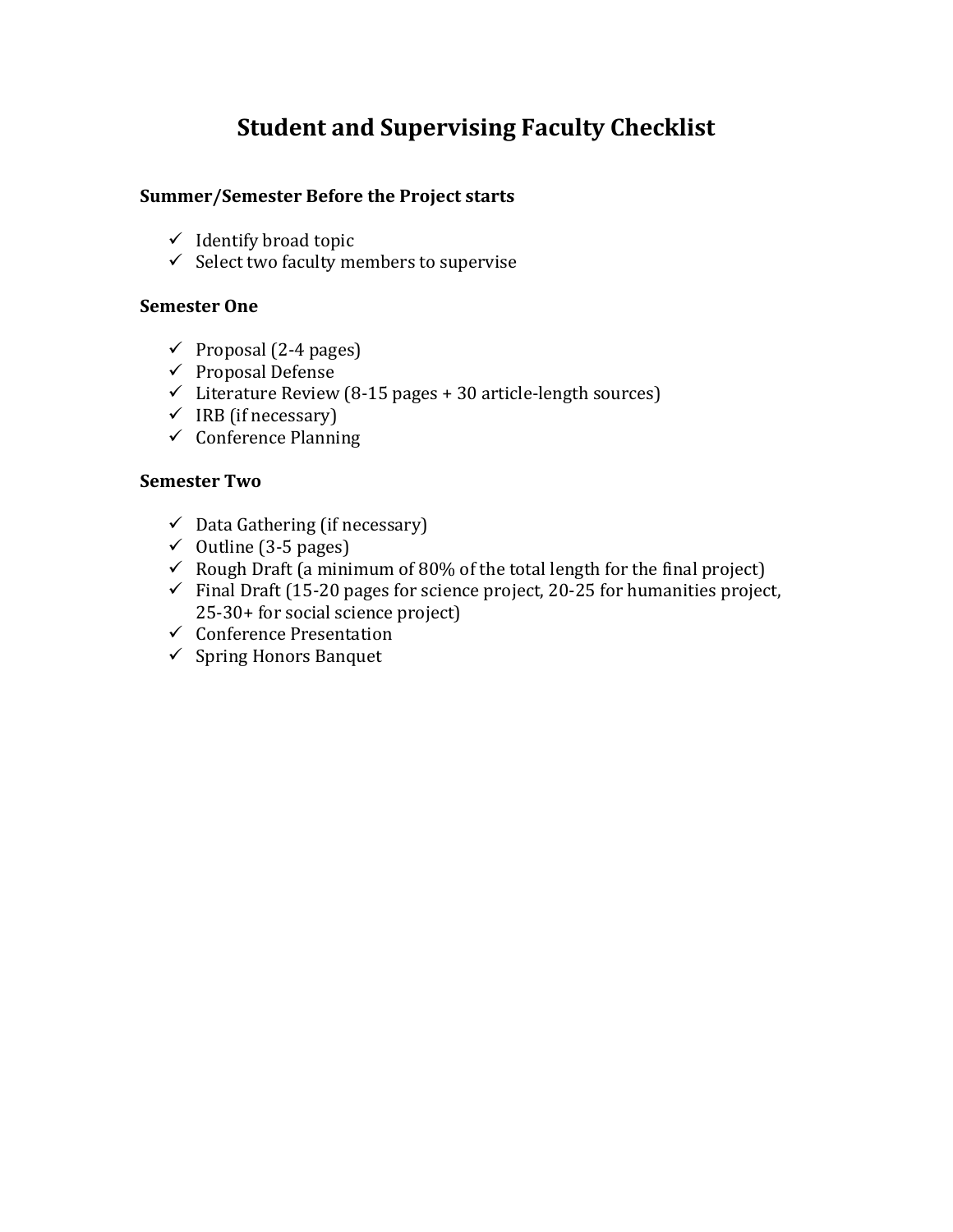# **Student and Supervising Faculty Checklist**

## **Summer/Semester Before the Project starts**

- $\checkmark$  Identify broad topic
- $\checkmark$  Select two faculty members to supervise

## **Semester One**

- $\checkmark$  Proposal (2-4 pages)
- $\checkmark$  Proposal Defense
- $\checkmark$  Literature Review (8-15 pages + 30 article-length sources)
- $\checkmark$  IRB (if necessary)
- $\checkmark$  Conference Planning

### **Semester Two**

- $\checkmark$  Data Gathering (if necessary)
- $\checkmark$  Outline (3-5 pages)
- $\checkmark$  Rough Draft (a minimum of 80% of the total length for the final project)
- $\checkmark$  Final Draft (15-20 pages for science project, 20-25 for humanities project,  $25-30+$  for social science project)
- $\checkmark$  Conference Presentation
- $\checkmark$  Spring Honors Banquet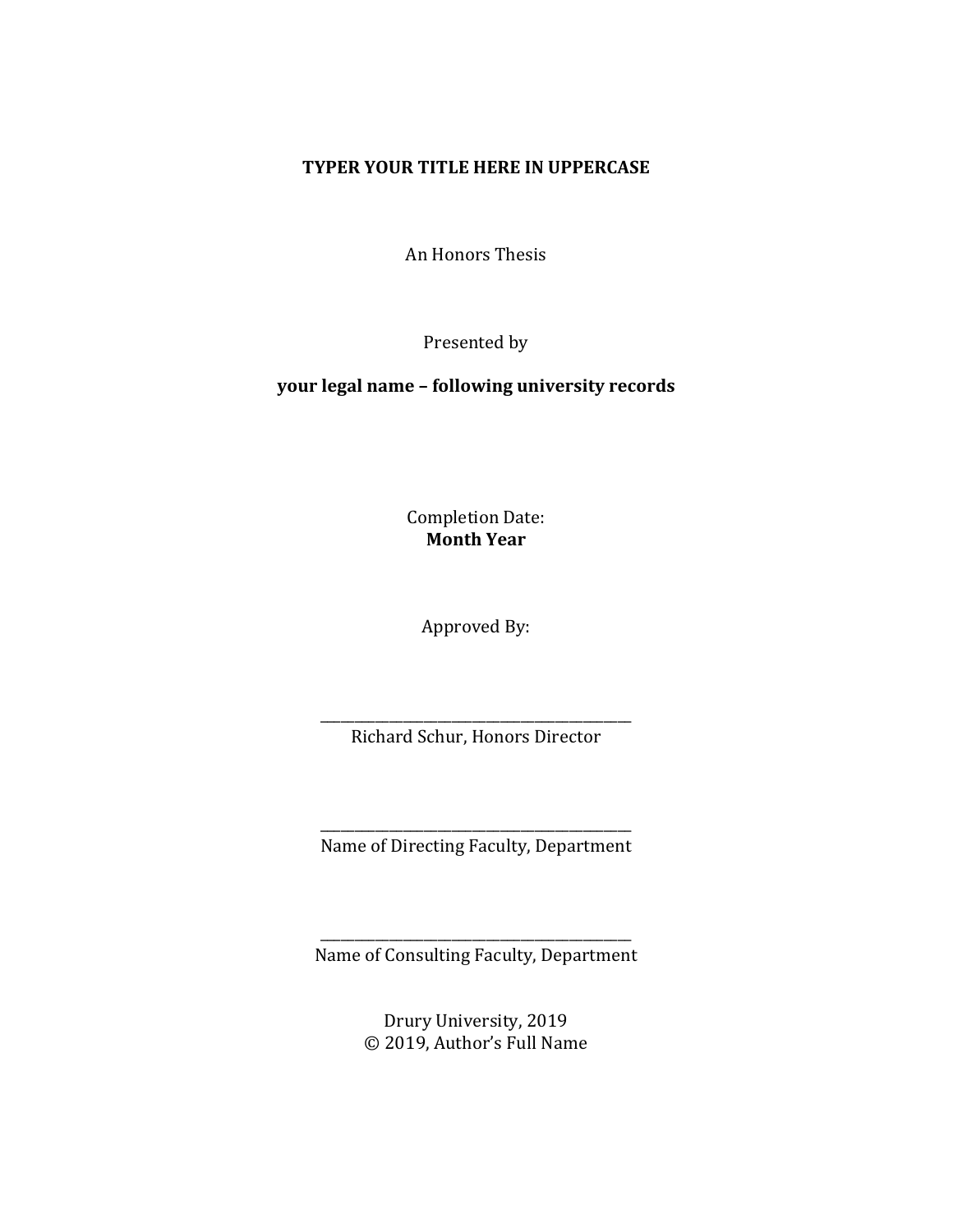### **TYPER YOUR TITLE HERE IN UPPERCASE**

An Honors Thesis

Presented by

**your legal name – following university records**

Completion Date: **Month Year**

Approved By:

\_\_\_\_\_\_\_\_\_\_\_\_\_\_\_\_\_\_\_\_\_\_\_\_\_\_\_\_\_\_\_\_\_\_\_\_\_\_\_\_\_\_\_\_\_ Richard Schur, Honors Director

\_\_\_\_\_\_\_\_\_\_\_\_\_\_\_\_\_\_\_\_\_\_\_\_\_\_\_\_\_\_\_\_\_\_\_\_\_\_\_\_\_\_\_\_\_ Name of Directing Faculty, Department

\_\_\_\_\_\_\_\_\_\_\_\_\_\_\_\_\_\_\_\_\_\_\_\_\_\_\_\_\_\_\_\_\_\_\_\_\_\_\_\_\_\_\_\_\_ Name of Consulting Faculty, Department

> Drury University, 2019 © 2019, Author's Full Name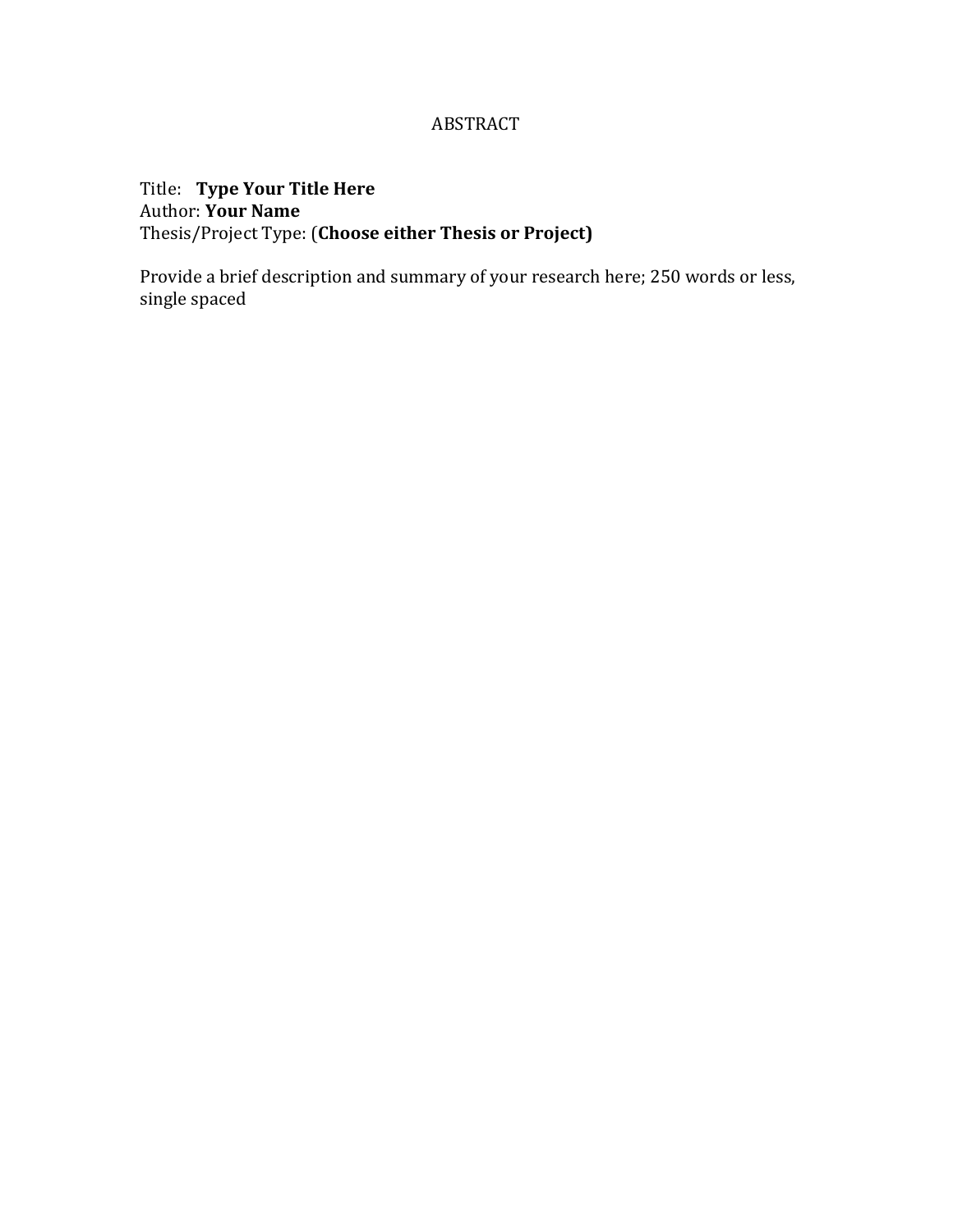# ABSTRACT

Title: Type Your Title Here Author: Your Name Thesis/Project Type: (**Choose either Thesis or Project)**

Provide a brief description and summary of your research here; 250 words or less, single spaced